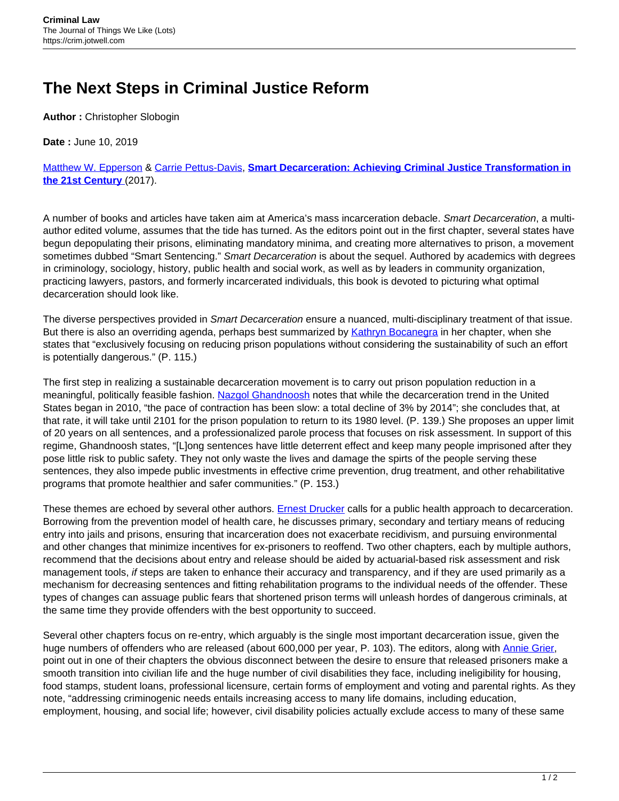## **The Next Steps in Criminal Justice Reform**

**Author :** Christopher Slobogin

**Date :** June 10, 2019

[Matthew W. Epperson](https://ssa.uchicago.edu/ssascholars/m-epperson) & [Carrie Pettus-Davis,](https://csw.fsu.edu/person/carrie-pettus-davis) **[Smart Decarceration: Achieving Criminal Justice Transformation in](https://global.oup.com/academic/product/smart-decarceration-9780190653095?cc=us&lang=en&) [the 21st Century](https://global.oup.com/academic/product/smart-decarceration-9780190653095?cc=us&lang=en&)** [\(](https://global.oup.com/academic/product/smart-decarceration-9780190653095?cc=us&lang=en&)2017).

A number of books and articles have taken aim at America's mass incarceration debacle. Smart Decarceration, a multiauthor edited volume, assumes that the tide has turned. As the editors point out in the first chapter, several states have begun depopulating their prisons, eliminating mandatory minima, and creating more alternatives to prison, a movement sometimes dubbed "Smart Sentencing." Smart Decarceration is about the sequel. Authored by academics with degrees in criminology, sociology, history, public health and social work, as well as by leaders in community organization, practicing lawyers, pastors, and formerly incarcerated individuals, this book is devoted to picturing what optimal decarceration should look like.

The diverse perspectives provided in Smart Decarceration ensure a nuanced, multi-disciplinary treatment of that issue. But there is also an overriding agenda, perhaps best summarized by [Kathryn Bocanegra](https://ssa.uchicago.edu/kathryn-bocanegra) in her chapter, when she states that "exclusively focusing on reducing prison populations without considering the sustainability of such an effort is potentially dangerous." (P. 115.)

The first step in realizing a sustainable decarceration movement is to carry out prison population reduction in a meaningful, politically feasible fashion. [Nazgol Ghandnoosh](http://www.nazgolghandnoosh.com) notes that while the decarceration trend in the United States began in 2010, "the pace of contraction has been slow: a total decline of 3% by 2014"; she concludes that, at that rate, it will take until 2101 for the prison population to return to its 1980 level. (P. 139.) She proposes an upper limit of 20 years on all sentences, and a professionalized parole process that focuses on risk assessment. In support of this regime, Ghandnoosh states, "[L]ong sentences have little deterrent effect and keep many people imprisoned after they pose little risk to public safety. They not only waste the lives and damage the spirts of the people serving these sentences, they also impede public investments in effective crime prevention, drug treatment, and other rehabilitative programs that promote healthier and safer communities." (P. 153.)

These themes are echoed by several other authors. [Ernest Drucker](https://beta.global.columbia.edu/people/ernest-drucker) calls for a public health approach to decarceration. Borrowing from the prevention model of health care, he discusses primary, secondary and tertiary means of reducing entry into jails and prisons, ensuring that incarceration does not exacerbate recidivism, and pursuing environmental and other changes that minimize incentives for ex-prisoners to reoffend. Two other chapters, each by multiple authors, recommend that the decisions about entry and release should be aided by actuarial-based risk assessment and risk management tools, if steps are taken to enhance their accuracy and transparency, and if they are used primarily as a mechanism for decreasing sentences and fitting rehabilitation programs to the individual needs of the offender. These types of changes can assuage public fears that shortened prison terms will unleash hordes of dangerous criminals, at the same time they provide offenders with the best opportunity to succeed.

Several other chapters focus on re-entry, which arguably is the single most important decarceration issue, given the huge numbers of offenders who are released (about 600,000 per year, P. 103). The editors, along with [Annie Grier](https://ijrd.csw.fsu.edu/our-team/annie-grier), point out in one of their chapters the obvious disconnect between the desire to ensure that released prisoners make a smooth transition into civilian life and the huge number of civil disabilities they face, including ineligibility for housing, food stamps, student loans, professional licensure, certain forms of employment and voting and parental rights. As they note, "addressing criminogenic needs entails increasing access to many life domains, including education, employment, housing, and social life; however, civil disability policies actually exclude access to many of these same